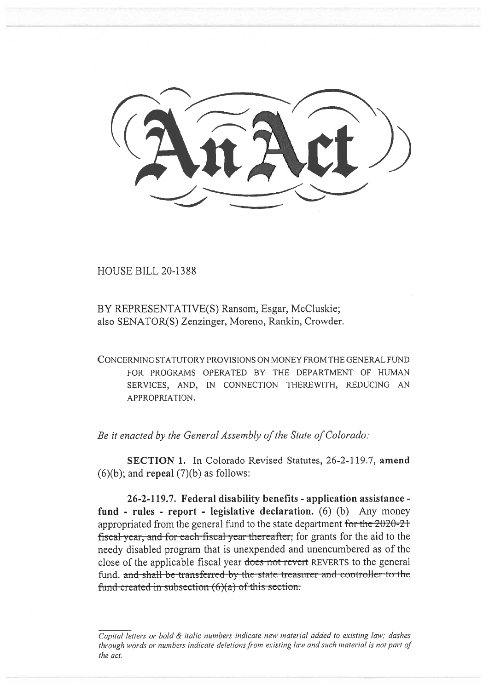

HOUSE BILL 20-1388

BY REPRESENTATIVE(S) Ransom, Esgar, McCluskie; also SENATOR(S) Zenzinger, Moreno, Rankin, Crowder.

CONCERNING STATUTORY PROVISIONS ON MONEY FROM THE GENERAL FUND FOR PROGRAMS OPERATED BY THE DEPARTMENT OF HUMAN SERVICES, AND, IN CONNECTION THEREWITH, REDUCING AN APPROPRIATION.

*Be it enacted by the General Assembly of the State of Colorado:* 

**SECTION 1.** In Colorado Revised Statutes, 26-2-119.7, **amend**   $(6)(b)$ ; and **repeal**  $(7)(b)$  as follows:

**26-2-119.7. Federal disability benefits - application assistance**  fund - rules - report - legislative declaration. (6) (b) Any money appropriated from the general fund to the state department for the  $2020-21$ fiscal year, and for each fiscal year thereafter; for grants for the aid to the needy disabled program that is unexpended and unencumbered as of the close of the applicable fiscal year does not revert REVERTS to the general fund. and shall be transferred by the state treasurer and controller to the fund created in subsection  $(6)(a)$  of this section.

*Capital letters or bold & italic numbers indicate new material added to existing law; dashes through words or numbers indicate deletions from existing law and such material is not part of the act.*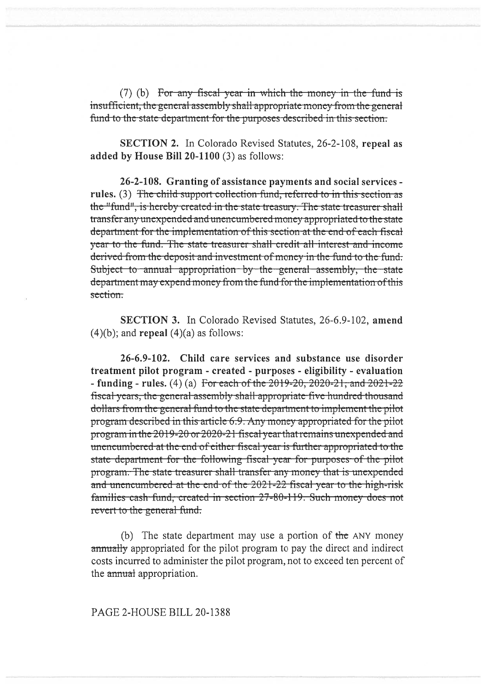(7) (b) For any fiscal year in which the money in the fund is insufficient, the general assembly shall appropriate money from the general fund to the state department for the purposes described in this section.

SECTION 2. In Colorado Revised Statutes, 26-2-108, repeal as added by House Bill 20-1100 (3) as follows:

26-2-108. Granting of assistance payments and social services rules. (3) The child support collection fund, referred to in this section as the "fund", is hereby created in the state treasury. The state treasurer shall transfer any unexpended and unencumbered money appropriated to the state department for the implementation of this section at the end of each fiscal year to the fund. The state treasurer shall credit all interest and income derived from the deposit and investment of money in the fund to the fund. Subject to annual appropriation by the general assembly, the state department may expend money from the fund for the implementation of this section

SECTION 3. In Colorado Revised Statutes, 26-6.9-102, amend  $(4)(b)$ ; and **repeal**  $(4)(a)$  as follows:

26-6.9-102. Child care services and substance use disorder treatment pilot program - created - purposes - eligibility - evaluation - funding - rules. (4) (a) For each of the  $2019-20$ ,  $2020-21$ , and  $2021-22$ fiscal years, the general assembly shall appropriate five hundred thousand dollars from the general fund to the state department to implement the pilot program described in this article 6.9. Any money appropriated for the pilot program in the 2019-20 or 2020-21 fiscal year that remains unexpended and unencumbered at the end of either fiscal year is further appropriated to the state department for the following fiscal year for purposes of the pilot program. The state treasurer shall transfer any money that is unexpended and unencumbered at the end of the 2021-22 fiscal year to the high-risk families cash fund, created in section 27-80-119. Such money does not revert to the general fund.

(b) The state department may use a portion of the ANY money annually appropriated for the pilot program to pay the direct and indirect costs incurred to administer the pilot program, not to exceed ten percent of the annual appropriation.

PAGE 2-HOUSE BILL 20-1388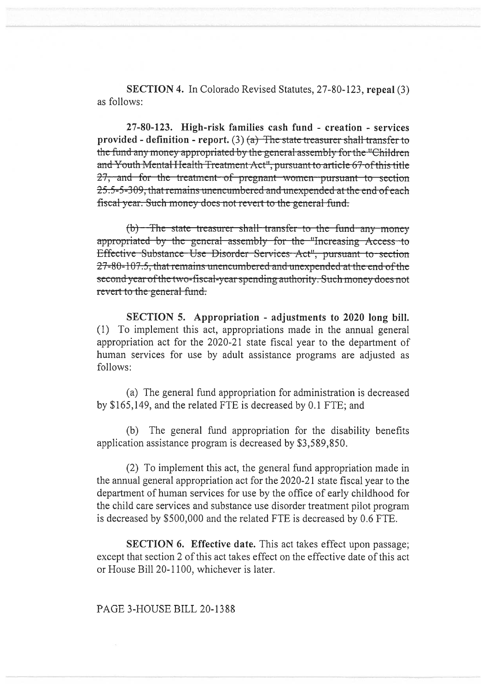**SECTION 4.** In Colorado Revised Statutes, 27-80-123, repeal (3) as follows:

27-80-123. High-risk families cash fund - creation - services provided - definition - report. (3) (a) The state treasurer shall transfer to the fund any money appropriated by the general assembly for the "Children" and Youth Mental Health Treatment Act", pursuant to article 67 of this title 27, and for the treatment of pregnant women pursuant to section 25.5-5-309; that remains unencumbered and unexpended at the end of each fiscal year. Such money does not revert to the general fund.

 $(b)$  The state treasurer shall transfer to the fund any money appropriated by the general assembly for the "Increasing Access to Effective Substance Use Disorder Services Act", pursuant to section 27-80-107.5, that remains unencumbered and unexpended at the end of the second year of the two-fiscal-year spending authority. Such money does not revert to the general fund.

SECTION 5. Appropriation - adjustments to 2020 long bill. (1) To implement this act, appropriations made in the annual general appropriation act for the 2020-21 state fiscal year to the department of human services for use by adult assistance programs are adjusted as follows:

(a) The general fund appropriation for administration is decreased by \$165,149, and the related FTE is decreased by 0.1 FTE; and

(b) The general fund appropriation for the disability benefits application assistance program is decreased by \$3,589,850.

(2) To implement this act, the general fund appropriation made in the annual general appropriation act for the 2020-21 state fiscal year to the department of human services for use by the office of early childhood for the child care services and substance use disorder treatment pilot program is decreased by \$500,000 and the related FTE is decreased by 0.6 FTE.

**SECTION 6. Effective date.** This act takes effect upon passage; except that section 2 of this act takes effect on the effective date of this act or House Bill 20-1100, whichever is later.

## PAGE 3-HOUSE BILL 20-1388